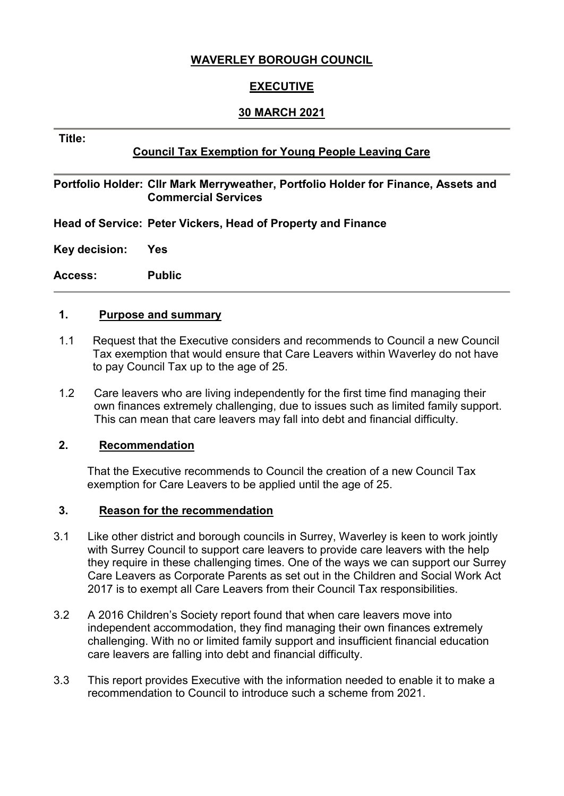## **WAVERLEY BOROUGH COUNCIL**

## **EXECUTIVE**

#### **30 MARCH 2021**

#### **Title:**

## **Council Tax Exemption for Young People Leaving Care**

#### **Portfolio Holder: Cllr Mark Merryweather, Portfolio Holder for Finance, Assets and Commercial Services**

**Head of Service: Peter Vickers, Head of Property and Finance**

**Key decision: Yes** 

**Access: Public**

#### **1. Purpose and summary**

- 1.1 Request that the Executive considers and recommends to Council a new Council Tax exemption that would ensure that Care Leavers within Waverley do not have to pay Council Tax up to the age of 25.
- 1.2 Care leavers who are living independently for the first time find managing their own finances extremely challenging, due to issues such as limited family support. This can mean that care leavers may fall into debt and financial difficulty.

#### **2. Recommendation**

That the Executive recommends to Council the creation of a new Council Tax exemption for Care Leavers to be applied until the age of 25.

#### **3. Reason for the recommendation**

- 3.1 Like other district and borough councils in Surrey, Waverley is keen to work jointly with Surrey Council to support care leavers to provide care leavers with the help they require in these challenging times. One of the ways we can support our Surrey Care Leavers as Corporate Parents as set out in the Children and Social Work Act 2017 is to exempt all Care Leavers from their Council Tax responsibilities.
- 3.2 A 2016 Children's Society report found that when care leavers move into independent accommodation, they find managing their own finances extremely challenging. With no or limited family support and insufficient financial education care leavers are falling into debt and financial difficulty.
- 3.3 This report provides Executive with the information needed to enable it to make a recommendation to Council to introduce such a scheme from 2021.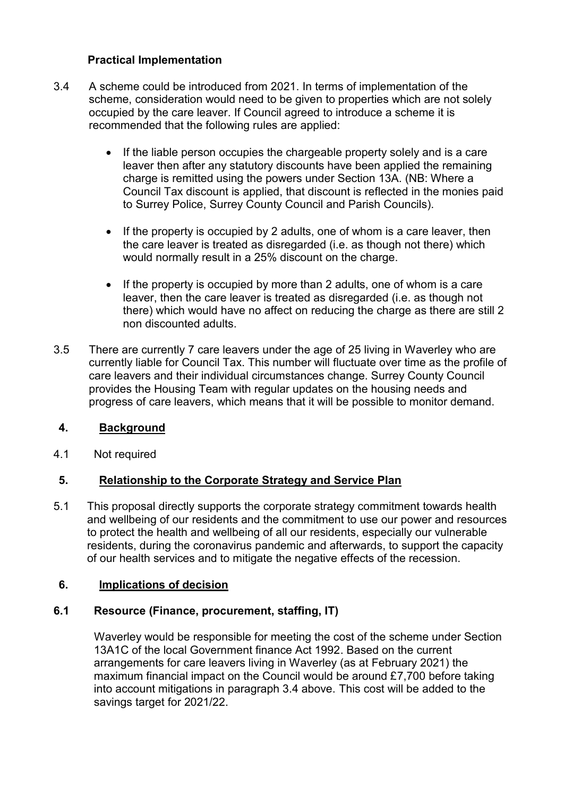## **Practical Implementation**

- 3.4 A scheme could be introduced from 2021. In terms of implementation of the scheme, consideration would need to be given to properties which are not solely occupied by the care leaver. If Council agreed to introduce a scheme it is recommended that the following rules are applied:
	- If the liable person occupies the chargeable property solely and is a care leaver then after any statutory discounts have been applied the remaining charge is remitted using the powers under Section 13A. (NB: Where a Council Tax discount is applied, that discount is reflected in the monies paid to Surrey Police, Surrey County Council and Parish Councils).
	- If the property is occupied by 2 adults, one of whom is a care leaver, then the care leaver is treated as disregarded (i.e. as though not there) which would normally result in a 25% discount on the charge.
	- If the property is occupied by more than 2 adults, one of whom is a care leaver, then the care leaver is treated as disregarded (i.e. as though not there) which would have no affect on reducing the charge as there are still 2 non discounted adults.
- 3.5 There are currently 7 care leavers under the age of 25 living in Waverley who are currently liable for Council Tax. This number will fluctuate over time as the profile of care leavers and their individual circumstances change. Surrey County Council provides the Housing Team with regular updates on the housing needs and progress of care leavers, which means that it will be possible to monitor demand.

### **4. Background**

4.1 Not required

# **5. Relationship to the Corporate Strategy and Service Plan**

5.1 This proposal directly supports the corporate strategy commitment towards health and wellbeing of our residents and the commitment to use our power and resources to protect the health and wellbeing of all our residents, especially our vulnerable residents, during the coronavirus pandemic and afterwards, to support the capacity of our health services and to mitigate the negative effects of the recession.

### **6. Implications of decision**

### **6.1 Resource (Finance, procurement, staffing, IT)**

Waverley would be responsible for meeting the cost of the scheme under Section 13A1C of the local Government finance Act 1992. Based on the current arrangements for care leavers living in Waverley (as at February 2021) the maximum financial impact on the Council would be around £7,700 before taking into account mitigations in paragraph 3.4 above. This cost will be added to the savings target for 2021/22.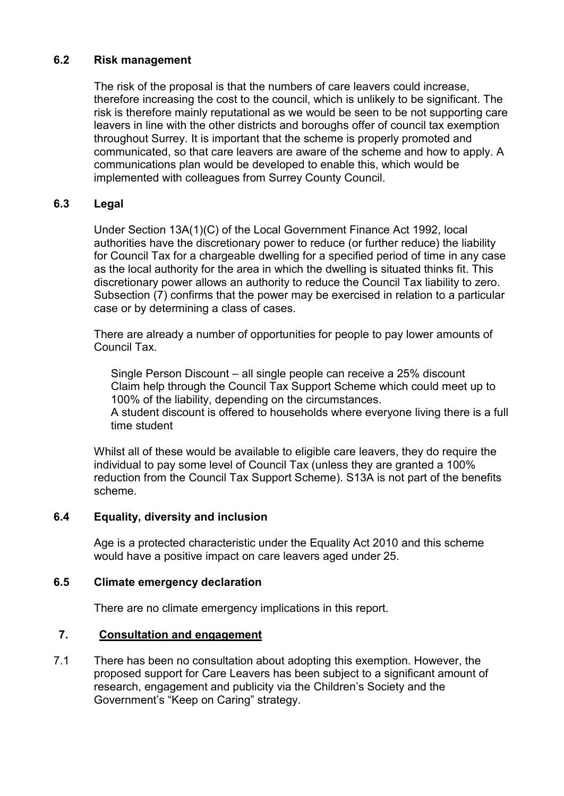### **6.2 Risk management**

The risk of the proposal is that the numbers of care leavers could increase, therefore increasing the cost to the council, which is unlikely to be significant. The risk is therefore mainly reputational as we would be seen to be not supporting care leavers in line with the other districts and boroughs offer of council tax exemption throughout Surrey. It is important that the scheme is properly promoted and communicated, so that care leavers are aware of the scheme and how to apply. A communications plan would be developed to enable this, which would be implemented with colleagues from Surrey County Council.

### **6.3 Legal**

Under Section 13A(1)(C) of the Local Government Finance Act 1992, local authorities have the discretionary power to reduce (or further reduce) the liability for Council Tax for a chargeable dwelling for a specified period of time in any case as the local authority for the area in which the dwelling is situated thinks fit. This discretionary power allows an authority to reduce the Council Tax liability to zero. Subsection (7) confirms that the power may be exercised in relation to a particular case or by determining a class of cases.

There are already a number of opportunities for people to pay lower amounts of Council Tax.

Single Person Discount – all single people can receive a 25% discount Claim help through the Council Tax Support Scheme which could meet up to 100% of the liability, depending on the circumstances. A student discount is offered to households where everyone living there is a full time student

Whilst all of these would be available to eligible care leavers, they do require the individual to pay some level of Council Tax (unless they are granted a 100% reduction from the Council Tax Support Scheme). S13A is not part of the benefits scheme.

### **6.4 Equality, diversity and inclusion**

Age is a protected characteristic under the Equality Act 2010 and this scheme would have a positive impact on care leavers aged under 25.

### **6.5 Climate emergency declaration**

There are no climate emergency implications in this report.

### **7. Consultation and engagement**

7.1 There has been no consultation about adopting this exemption. However, the proposed support for Care Leavers has been subject to a significant amount of research, engagement and publicity via the Children's Society and the Government's "Keep on Caring" strategy.